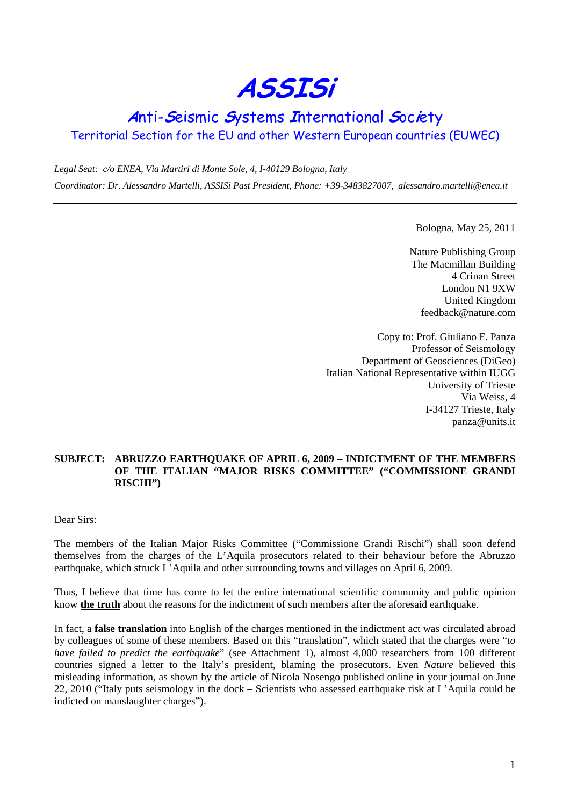**ASSISi** 

## **A**nti-**S**eismic **S**ystems **I**nternational **S**oc**i**ety

Territorial Section for the EU and other Western European countries (EUWEC)

*Legal Seat: c/o ENEA, Via Martiri di Monte Sole, 4, I-40129 Bologna, Italy Coordinator: Dr. Alessandro Martelli, ASSISi Past President, Phone: +39-3483827007, alessandro.martelli@enea.it* 

Bologna, May 25, 2011

Nature Publishing Group The Macmillan Building 4 Crinan Street London N1 9XW United Kingdom feedback@nature.com

Copy to: Prof. Giuliano F. Panza Professor of Seismology Department of Geosciences (DiGeo) Italian National Representative within IUGG University of Trieste Via Weiss, 4 I-34127 Trieste, Italy panza@units.it

## **SUBJECT: ABRUZZO EARTHQUAKE OF APRIL 6, 2009 – INDICTMENT OF THE MEMBERS OF THE ITALIAN "MAJOR RISKS COMMITTEE" ("COMMISSIONE GRANDI RISCHI")**

Dear Sirs:

The members of the Italian Major Risks Committee ("Commissione Grandi Rischi") shall soon defend themselves from the charges of the L'Aquila prosecutors related to their behaviour before the Abruzzo earthquake, which struck L'Aquila and other surrounding towns and villages on April 6, 2009.

Thus, I believe that time has come to let the entire international scientific community and public opinion know **the truth** about the reasons for the indictment of such members after the aforesaid earthquake.

In fact, a **false translation** into English of the charges mentioned in the indictment act was circulated abroad by colleagues of some of these members. Based on this "translation", which stated that the charges were "*to have failed to predict the earthquake*" (see Attachment 1), almost 4,000 researchers from 100 different countries signed a letter to the Italy's president, blaming the prosecutors. Even *Nature* believed this misleading information, as shown by the article of Nicola Nosengo published online in your journal on June 22, 2010 ("Italy puts seismology in the dock – Scientists who assessed earthquake risk at L'Aquila could be indicted on manslaughter charges").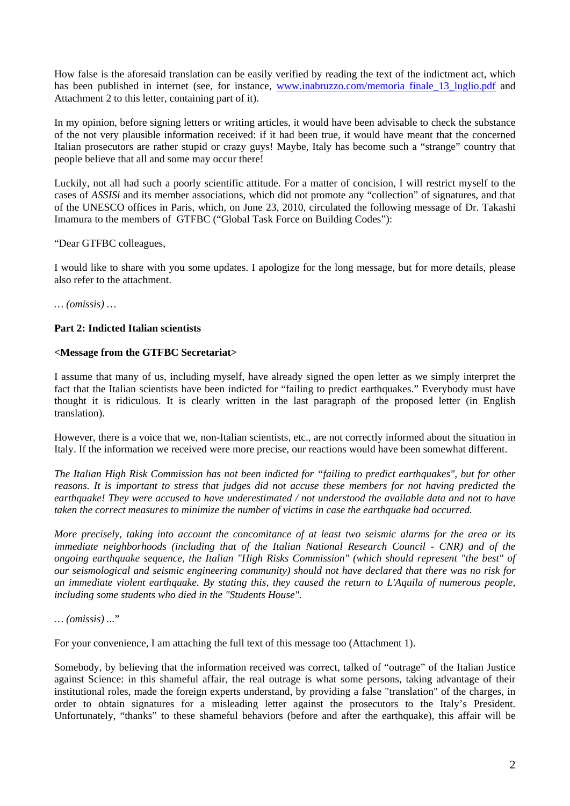How false is the aforesaid translation can be easily verified by reading the text of the indictment act, which has been published in internet (see, for instance, www.inabruzzo.com/memoria finale 13 luglio.pdf and Attachment 2 to this letter, containing part of it).

In my opinion, before signing letters or writing articles, it would have been advisable to check the substance of the not very plausible information received: if it had been true, it would have meant that the concerned Italian prosecutors are rather stupid or crazy guys! Maybe, Italy has become such a "strange" country that people believe that all and some may occur there!

Luckily, not all had such a poorly scientific attitude. For a matter of concision, I will restrict myself to the cases of *ASSISi* and its member associations, which did not promote any "collection" of signatures, and that of the UNESCO offices in Paris, which, on June 23, 2010, circulated the following message of Dr. Takashi Imamura to the members of GTFBC ("Global Task Force on Building Codes"):

"Dear GTFBC colleagues,

I would like to share with you some updates. I apologize for the long message, but for more details, please also refer to the attachment.

*… (omissis) …* 

## **Part 2: Indicted Italian scientists**

## **<Message from the GTFBC Secretariat>**

I assume that many of us, including myself, have already signed the open letter as we simply interpret the fact that the Italian scientists have been indicted for "failing to predict earthquakes." Everybody must have thought it is ridiculous. It is clearly written in the last paragraph of the proposed letter (in English translation).

However, there is a voice that we, non-Italian scientists, etc., are not correctly informed about the situation in Italy. If the information we received were more precise, our reactions would have been somewhat different.

*The Italian High Risk Commission has not been indicted for "failing to predict earthquakes", but for other reasons. It is important to stress that judges did not accuse these members for not having predicted the earthquake! They were accused to have underestimated / not understood the available data and not to have taken the correct measures to minimize the number of victims in case the earthquake had occurred.*

*More precisely, taking into account the concomitance of at least two seismic alarms for the area or its immediate neighborhoods (including that of the Italian National Research Council - CNR) and of the ongoing earthquake sequence, the Italian "High Risks Commission" (which should represent "the best" of our seismological and seismic engineering community) should not have declared that there was no risk for an immediate violent earthquake. By stating this, they caused the return to L'Aquila of numerous people, including some students who died in the "Students House".* 

*… (omissis) ...*"

For your convenience, I am attaching the full text of this message too (Attachment 1).

Somebody, by believing that the information received was correct, talked of "outrage" of the Italian Justice against Science: in this shameful affair, the real outrage is what some persons, taking advantage of their institutional roles, made the foreign experts understand, by providing a false "translation" of the charges, in order to obtain signatures for a misleading letter against the prosecutors to the Italy's President. Unfortunately, "thanks" to these shameful behaviors (before and after the earthquake), this affair will be